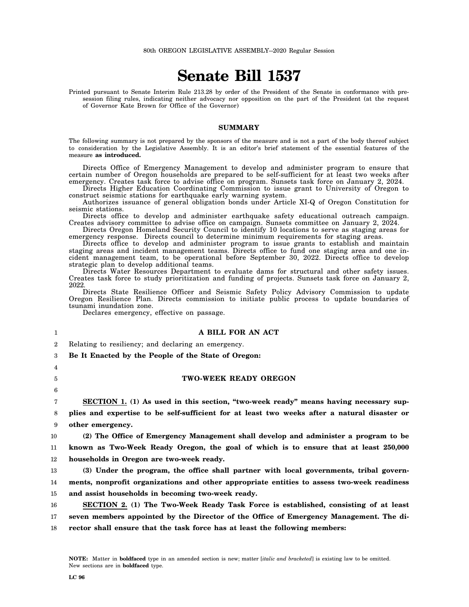# **Senate Bill 1537**

Printed pursuant to Senate Interim Rule 213.28 by order of the President of the Senate in conformance with presession filing rules, indicating neither advocacy nor opposition on the part of the President (at the request of Governor Kate Brown for Office of the Governor)

#### **SUMMARY**

The following summary is not prepared by the sponsors of the measure and is not a part of the body thereof subject to consideration by the Legislative Assembly. It is an editor's brief statement of the essential features of the measure **as introduced.**

Directs Office of Emergency Management to develop and administer program to ensure that certain number of Oregon households are prepared to be self-sufficient for at least two weeks after emergency. Creates task force to advise office on program. Sunsets task force on January 2, 2024.

Directs Higher Education Coordinating Commission to issue grant to University of Oregon to construct seismic stations for earthquake early warning system.

Authorizes issuance of general obligation bonds under Article XI-Q of Oregon Constitution for seismic stations.

Directs office to develop and administer earthquake safety educational outreach campaign. Creates advisory committee to advise office on campaign. Sunsets committee on January 2, 2024.

Directs Oregon Homeland Security Council to identify 10 locations to serve as staging areas for emergency response. Directs council to determine minimum requirements for staging areas.

Directs office to develop and administer program to issue grants to establish and maintain staging areas and incident management teams. Directs office to fund one staging area and one incident management team, to be operational before September 30, 2022. Directs office to develop strategic plan to develop additional teams.

Directs Water Resources Department to evaluate dams for structural and other safety issues. Creates task force to study prioritization and funding of projects. Sunsets task force on January 2, 2022.

Directs State Resilience Officer and Seismic Safety Policy Advisory Commission to update Oregon Resilience Plan. Directs commission to initiate public process to update boundaries of tsunami inundation zone.

Declares emergency, effective on passage.

### **A BILL FOR AN ACT**

 $\overline{2}$ Relating to resiliency; and declaring an emergency.

3 **Be It Enacted by the People of the State of Oregon:**

4 5

6

1

## **TWO-WEEK READY OREGON**

7 8 9 **SECTION 1. (1) As used in this section, "two-week ready" means having necessary supplies and expertise to be self-sufficient for at least two weeks after a natural disaster or other emergency.**

10 11 12 **(2) The Office of Emergency Management shall develop and administer a program to be known as Two-Week Ready Oregon, the goal of which is to ensure that at least 250,000 households in Oregon are two-week ready.**

13 14 15 **(3) Under the program, the office shall partner with local governments, tribal governments, nonprofit organizations and other appropriate entities to assess two-week readiness and assist households in becoming two-week ready.**

16 17 18 **SECTION 2. (1) The Two-Week Ready Task Force is established, consisting of at least seven members appointed by the Director of the Office of Emergency Management. The director shall ensure that the task force has at least the following members:**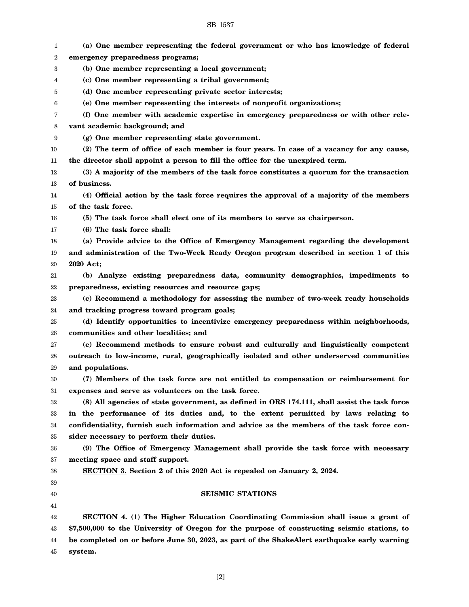# SB 1537

| 1  | (a) One member representing the federal government or who has knowledge of federal           |
|----|----------------------------------------------------------------------------------------------|
| 2  | emergency preparedness programs;                                                             |
| 3  | (b) One member representing a local government;                                              |
| 4  | (c) One member representing a tribal government;                                             |
| 5  | (d) One member representing private sector interests;                                        |
| 6  | (e) One member representing the interests of nonprofit organizations;                        |
| 7  | (f) One member with academic expertise in emergency preparedness or with other rele-         |
| 8  | vant academic background; and                                                                |
| 9  | (g) One member representing state government.                                                |
| 10 | (2) The term of office of each member is four years. In case of a vacancy for any cause,     |
| 11 | the director shall appoint a person to fill the office for the unexpired term.               |
| 12 | (3) A majority of the members of the task force constitutes a quorum for the transaction     |
| 13 | of business.                                                                                 |
| 14 | (4) Official action by the task force requires the approval of a majority of the members     |
| 15 | of the task force.                                                                           |
| 16 | (5) The task force shall elect one of its members to serve as chairperson.                   |
| 17 | (6) The task force shall:                                                                    |
| 18 | (a) Provide advice to the Office of Emergency Management regarding the development           |
| 19 | and administration of the Two-Week Ready Oregon program described in section 1 of this       |
| 20 | 2020 Act;                                                                                    |
| 21 | (b) Analyze existing preparedness data, community demographics, impediments to               |
| 22 | preparedness, existing resources and resource gaps;                                          |
| 23 | (c) Recommend a methodology for assessing the number of two-week ready households            |
| 24 | and tracking progress toward program goals;                                                  |
| 25 | (d) Identify opportunities to incentivize emergency preparedness within neighborhoods,       |
| 26 | communities and other localities; and                                                        |
| 27 | (e) Recommend methods to ensure robust and culturally and linguistically competent           |
| 28 | outreach to low-income, rural, geographically isolated and other underserved communities     |
| 29 | and populations.                                                                             |
| 30 | (7) Members of the task force are not entitled to compensation or reimbursement for          |
| 31 | expenses and serve as volunteers on the task force.                                          |
| 32 | (8) All agencies of state government, as defined in ORS 174.111, shall assist the task force |
| 33 | in the performance of its duties and, to the extent permitted by laws relating to            |
| 34 | confidentiality, furnish such information and advice as the members of the task force con-   |
| 35 | sider necessary to perform their duties.                                                     |
| 36 | (9) The Office of Emergency Management shall provide the task force with necessary           |
| 37 | meeting space and staff support.                                                             |
| 38 | SECTION 3. Section 2 of this 2020 Act is repealed on January 2, 2024.                        |
| 39 |                                                                                              |
| 40 | <b>SEISMIC STATIONS</b>                                                                      |
| 41 |                                                                                              |
| 42 | SECTION 4. (1) The Higher Education Coordinating Commission shall issue a grant of           |
| 43 | \$7,500,000 to the University of Oregon for the purpose of constructing seismic stations, to |
| 44 | be completed on or before June 30, 2023, as part of the ShakeAlert earthquake early warning  |
| 45 | system.                                                                                      |
|    |                                                                                              |

[2]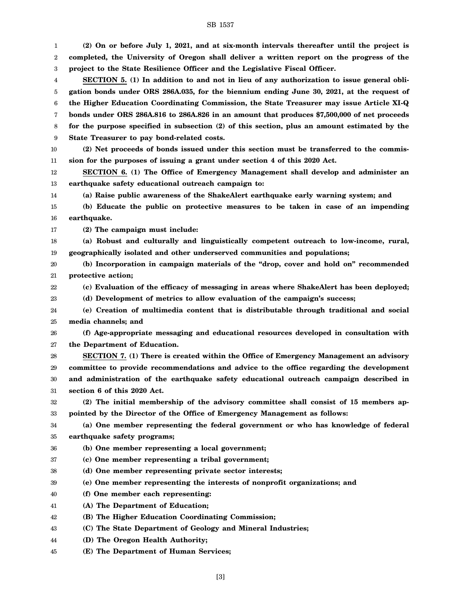# SB 1537

| 1  | (2) On or before July 1, 2021, and at six-month intervals thereafter until the project is    |
|----|----------------------------------------------------------------------------------------------|
| 2  | completed, the University of Oregon shall deliver a written report on the progress of the    |
| 3  | project to the State Resilience Officer and the Legislative Fiscal Officer.                  |
| 4  | SECTION 5. (1) In addition to and not in lieu of any authorization to issue general obli-    |
| 5  | gation bonds under ORS 286A.035, for the biennium ending June 30, 2021, at the request of    |
| 6  | the Higher Education Coordinating Commission, the State Treasurer may issue Article XI-Q     |
| 7  | bonds under ORS 286A.816 to 286A.826 in an amount that produces \$7,500,000 of net proceeds  |
| 8  | for the purpose specified in subsection (2) of this section, plus an amount estimated by the |
| 9  | State Treasurer to pay bond-related costs.                                                   |
| 10 | (2) Net proceeds of bonds issued under this section must be transferred to the commis-       |
| 11 | sion for the purposes of issuing a grant under section 4 of this 2020 Act.                   |
| 12 | SECTION 6. (1) The Office of Emergency Management shall develop and administer an            |
| 13 | earthquake safety educational outreach campaign to:                                          |
| 14 | (a) Raise public awareness of the ShakeAlert earthquake early warning system; and            |
| 15 | (b) Educate the public on protective measures to be taken in case of an impending            |
| 16 | earthquake.                                                                                  |
| 17 | (2) The campaign must include:                                                               |
| 18 | (a) Robust and culturally and linguistically competent outreach to low-income, rural,        |
| 19 | geographically isolated and other underserved communities and populations;                   |
| 20 | (b) Incorporation in campaign materials of the "drop, cover and hold on" recommended         |
| 21 | protective action;                                                                           |
| 22 | (c) Evaluation of the efficacy of messaging in areas where ShakeAlert has been deployed;     |
| 23 | (d) Development of metrics to allow evaluation of the campaign's success;                    |
| 24 | (e) Creation of multimedia content that is distributable through traditional and social      |
| 25 | media channels; and                                                                          |
| 26 | (f) Age-appropriate messaging and educational resources developed in consultation with       |
| 27 | the Department of Education.                                                                 |
| 28 | SECTION 7. (1) There is created within the Office of Emergency Management an advisory        |
| 29 | committee to provide recommendations and advice to the office regarding the development      |
| 30 | and administration of the earthquake safety educational outreach campaign described in       |
| 31 | section 6 of this 2020 Act.                                                                  |
| 32 | (2) The initial membership of the advisory committee shall consist of 15 members ap-         |
| 33 | pointed by the Director of the Office of Emergency Management as follows:                    |
| 34 | (a) One member representing the federal government or who has knowledge of federal           |
| 35 | earthquake safety programs;                                                                  |
| 36 | (b) One member representing a local government;                                              |
| 37 | (c) One member representing a tribal government;                                             |
| 38 | (d) One member representing private sector interests;                                        |
| 39 | (e) One member representing the interests of nonprofit organizations; and                    |
| 40 | (f) One member each representing:                                                            |
| 41 | (A) The Department of Education;                                                             |
| 42 | (B) The Higher Education Coordinating Commission;                                            |
| 43 | (C) The State Department of Geology and Mineral Industries;                                  |
| 44 | (D) The Oregon Health Authority;                                                             |
| 45 | (E) The Department of Human Services;                                                        |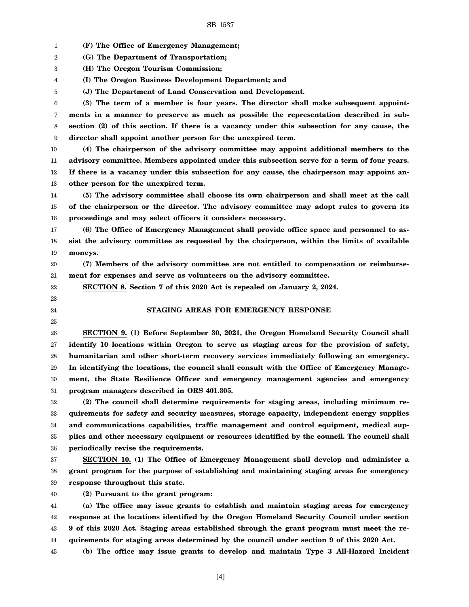1 2 3 4 5 6 7 8 9 10 11 12 13 14 15 16 17 18 19 20 21 22 23 24 25 26 27 28 29 30 31 32 33 34 35 36 37 38 39 40 41 42 43 44 45 **(F) The Office of Emergency Management; (G) The Department of Transportation; (H) The Oregon Tourism Commission; (I) The Oregon Business Development Department; and (J) The Department of Land Conservation and Development. (3) The term of a member is four years. The director shall make subsequent appointments in a manner to preserve as much as possible the representation described in subsection (2) of this section. If there is a vacancy under this subsection for any cause, the director shall appoint another person for the unexpired term. (4) The chairperson of the advisory committee may appoint additional members to the advisory committee. Members appointed under this subsection serve for a term of four years. If there is a vacancy under this subsection for any cause, the chairperson may appoint another person for the unexpired term. (5) The advisory committee shall choose its own chairperson and shall meet at the call of the chairperson or the director. The advisory committee may adopt rules to govern its proceedings and may select officers it considers necessary. (6) The Office of Emergency Management shall provide office space and personnel to assist the advisory committee as requested by the chairperson, within the limits of available moneys. (7) Members of the advisory committee are not entitled to compensation or reimbursement for expenses and serve as volunteers on the advisory committee. SECTION 8. Section 7 of this 2020 Act is repealed on January 2, 2024. STAGING AREAS FOR EMERGENCY RESPONSE SECTION 9. (1) Before September 30, 2021, the Oregon Homeland Security Council shall identify 10 locations within Oregon to serve as staging areas for the provision of safety, humanitarian and other short-term recovery services immediately following an emergency. In identifying the locations, the council shall consult with the Office of Emergency Management, the State Resilience Officer and emergency management agencies and emergency program managers described in ORS 401.305. (2) The council shall determine requirements for staging areas, including minimum requirements for safety and security measures, storage capacity, independent energy supplies and communications capabilities, traffic management and control equipment, medical supplies and other necessary equipment or resources identified by the council. The council shall periodically revise the requirements. SECTION 10. (1) The Office of Emergency Management shall develop and administer a grant program for the purpose of establishing and maintaining staging areas for emergency response throughout this state. (2) Pursuant to the grant program: (a) The office may issue grants to establish and maintain staging areas for emergency response at the locations identified by the Oregon Homeland Security Council under section 9 of this 2020 Act. Staging areas established through the grant program must meet the requirements for staging areas determined by the council under section 9 of this 2020 Act. (b) The office may issue grants to develop and maintain Type 3 All-Hazard Incident**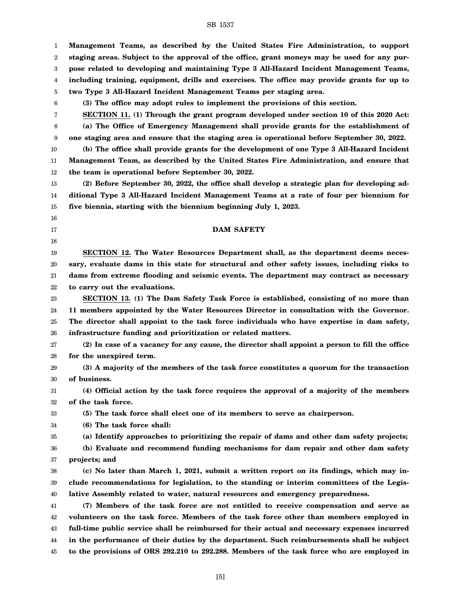1 2 3 4 5 6 7 8 9 10 11 12 13 14 15 16 17 18 19 20 21 22 23 24 25 26 27 28 29 30 31 32 33 34 35 36 37 38 39 40 41 42 43 44 45 **Management Teams, as described by the United States Fire Administration, to support staging areas. Subject to the approval of the office, grant moneys may be used for any purpose related to developing and maintaining Type 3 All-Hazard Incident Management Teams, including training, equipment, drills and exercises. The office may provide grants for up to two Type 3 All-Hazard Incident Management Teams per staging area. (3) The office may adopt rules to implement the provisions of this section. SECTION 11. (1) Through the grant program developed under section 10 of this 2020 Act: (a) The Office of Emergency Management shall provide grants for the establishment of one staging area and ensure that the staging area is operational before September 30, 2022. (b) The office shall provide grants for the development of one Type 3 All-Hazard Incident Management Team, as described by the United States Fire Administration, and ensure that the team is operational before September 30, 2022. (2) Before September 30, 2022, the office shall develop a strategic plan for developing additional Type 3 All-Hazard Incident Management Teams at a rate of four per biennium for five biennia, starting with the biennium beginning July 1, 2023. DAM SAFETY SECTION 12. The Water Resources Department shall, as the department deems necessary, evaluate dams in this state for structural and other safety issues, including risks to dams from extreme flooding and seismic events. The department may contract as necessary to carry out the evaluations. SECTION 13. (1) The Dam Safety Task Force is established, consisting of no more than 11 members appointed by the Water Resources Director in consultation with the Governor. The director shall appoint to the task force individuals who have expertise in dam safety, infrastructure funding and prioritization or related matters. (2) In case of a vacancy for any cause, the director shall appoint a person to fill the office for the unexpired term. (3) A majority of the members of the task force constitutes a quorum for the transaction of business. (4) Official action by the task force requires the approval of a majority of the members of the task force. (5) The task force shall elect one of its members to serve as chairperson. (6) The task force shall: (a) Identify approaches to prioritizing the repair of dams and other dam safety projects; (b) Evaluate and recommend funding mechanisms for dam repair and other dam safety projects; and (c) No later than March 1, 2021, submit a written report on its findings, which may include recommendations for legislation, to the standing or interim committees of the Legislative Assembly related to water, natural resources and emergency preparedness. (7) Members of the task force are not entitled to receive compensation and serve as volunteers on the task force. Members of the task force other than members employed in full-time public service shall be reimbursed for their actual and necessary expenses incurred in the performance of their duties by the department. Such reimbursements shall be subject to the provisions of ORS 292.210 to 292.288. Members of the task force who are employed in**

SB 1537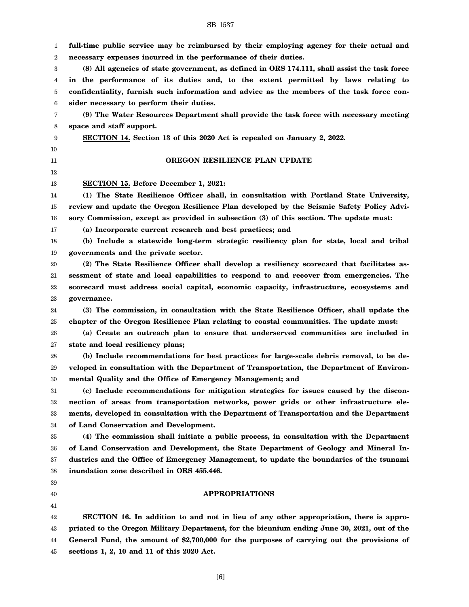1 2 3 4 5 6 7 8 9 10 11 12 13 14 15 16 17 18 19 20 21 22 23 24 25 26 27 28 29 30 31 32 33 34 35 36 37 38 39 40 41 42 43 44 45 **full-time public service may be reimbursed by their employing agency for their actual and necessary expenses incurred in the performance of their duties. (8) All agencies of state government, as defined in ORS 174.111, shall assist the task force in the performance of its duties and, to the extent permitted by laws relating to confidentiality, furnish such information and advice as the members of the task force consider necessary to perform their duties. (9) The Water Resources Department shall provide the task force with necessary meeting space and staff support. SECTION 14. Section 13 of this 2020 Act is repealed on January 2, 2022. OREGON RESILIENCE PLAN UPDATE SECTION 15. Before December 1, 2021: (1) The State Resilience Officer shall, in consultation with Portland State University, review and update the Oregon Resilience Plan developed by the Seismic Safety Policy Advisory Commission, except as provided in subsection (3) of this section. The update must: (a) Incorporate current research and best practices; and (b) Include a statewide long-term strategic resiliency plan for state, local and tribal governments and the private sector. (2) The State Resilience Officer shall develop a resiliency scorecard that facilitates assessment of state and local capabilities to respond to and recover from emergencies. The scorecard must address social capital, economic capacity, infrastructure, ecosystems and governance. (3) The commission, in consultation with the State Resilience Officer, shall update the chapter of the Oregon Resilience Plan relating to coastal communities. The update must: (a) Create an outreach plan to ensure that underserved communities are included in state and local resiliency plans; (b) Include recommendations for best practices for large-scale debris removal, to be developed in consultation with the Department of Transportation, the Department of Environmental Quality and the Office of Emergency Management; and (c) Include recommendations for mitigation strategies for issues caused by the disconnection of areas from transportation networks, power grids or other infrastructure elements, developed in consultation with the Department of Transportation and the Department of Land Conservation and Development. (4) The commission shall initiate a public process, in consultation with the Department of Land Conservation and Development, the State Department of Geology and Mineral Industries and the Office of Emergency Management, to update the boundaries of the tsunami inundation zone described in ORS 455.446. APPROPRIATIONS SECTION 16. In addition to and not in lieu of any other appropriation, there is appropriated to the Oregon Military Department, for the biennium ending June 30, 2021, out of the General Fund, the amount of \$2,700,000 for the purposes of carrying out the provisions of sections 1, 2, 10 and 11 of this 2020 Act.**